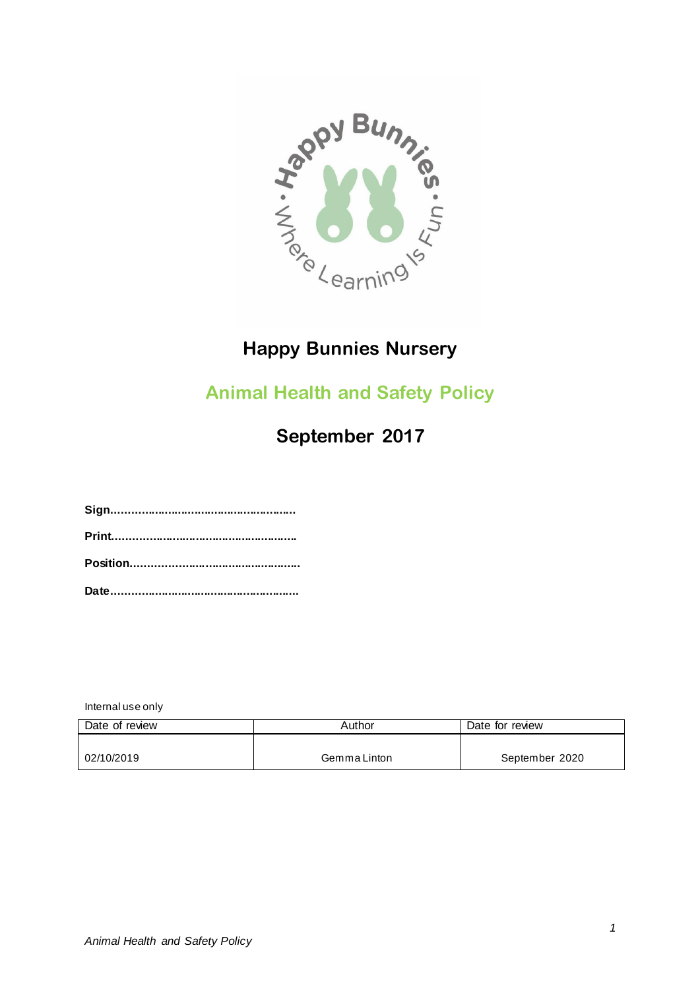

## **Happy Bunnies Nursery**

## **Animal Health and Safety Policy**

# **September 2017**

**Sign........................................................ Print........................................................ Position................................................... Date.........................................................**

Internal use only

| Date of review | Author       | Date for review |
|----------------|--------------|-----------------|
|                |              |                 |
| 02/10/2019     | Gemma Linton | September 2020  |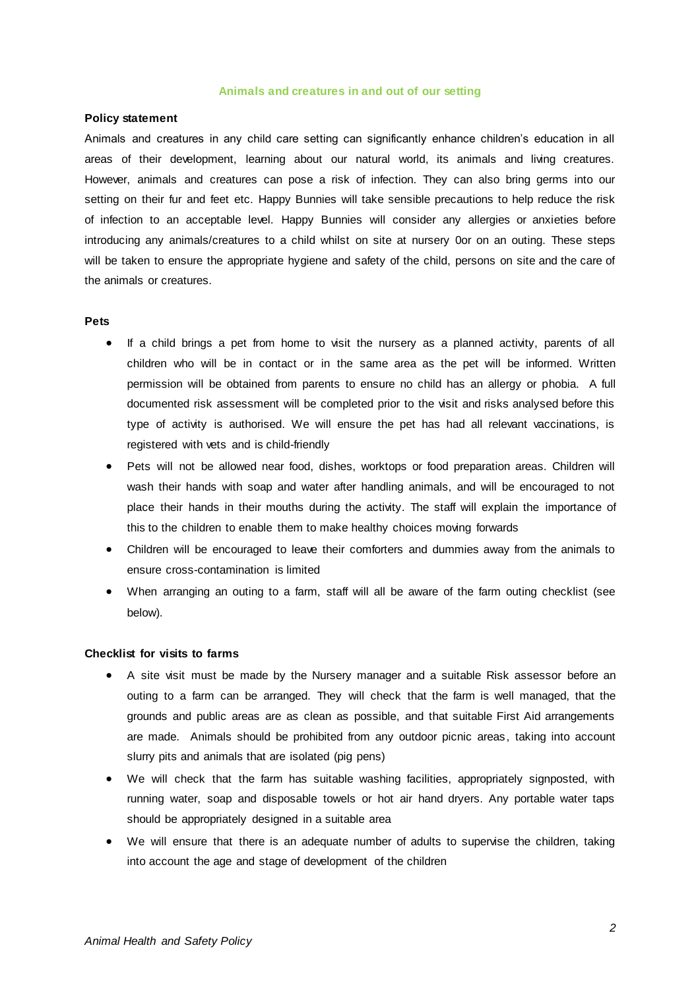#### **Animals and creatures in and out of our setting**

#### **Policy statement**

Animals and creatures in any child care setting can significantly enhance children's education in all areas of their development, learning about our natural world, its animals and living creatures. However, animals and creatures can pose a risk of infection. They can also bring germs into our setting on their fur and feet etc. Happy Bunnies will take sensible precautions to help reduce the risk of infection to an acceptable level. Happy Bunnies will consider any allergies or anxieties before introducing any animals/creatures to a child whilst on site at nursery 0or on an outing. These steps will be taken to ensure the appropriate hygiene and safety of the child, persons on site and the care of the animals or creatures.

#### **Pets**

- If a child brings a pet from home to visit the nursery as a planned activity, parents of all children who will be in contact or in the same area as the pet will be informed. Written permission will be obtained from parents to ensure no child has an allergy or phobia. A full documented risk assessment will be completed prior to the visit and risks analysed before this type of activity is authorised. We will ensure the pet has had all relevant vaccinations, is registered with vets and is child-friendly
- Pets will not be allowed near food, dishes, worktops or food preparation areas. Children will wash their hands with soap and water after handling animals, and will be encouraged to not place their hands in their mouths during the activity. The staff will explain the importance of this to the children to enable them to make healthy choices moving forwards
- Children will be encouraged to leave their comforters and dummies away from the animals to ensure cross-contamination is limited
- When arranging an outing to a farm, staff will all be aware of the farm outing checklist (see below).

### **Checklist for visits to farms**

- A site visit must be made by the Nursery manager and a suitable Risk assessor before an outing to a farm can be arranged. They will check that the farm is well managed, that the grounds and public areas are as clean as possible, and that suitable First Aid arrangements are made. Animals should be prohibited from any outdoor picnic areas, taking into account slurry pits and animals that are isolated (pig pens)
- We will check that the farm has suitable washing facilities, appropriately signposted, with running water, soap and disposable towels or hot air hand dryers. Any portable water taps should be appropriately designed in a suitable area
- We will ensure that there is an adequate number of adults to supervise the children, taking into account the age and stage of development of the children